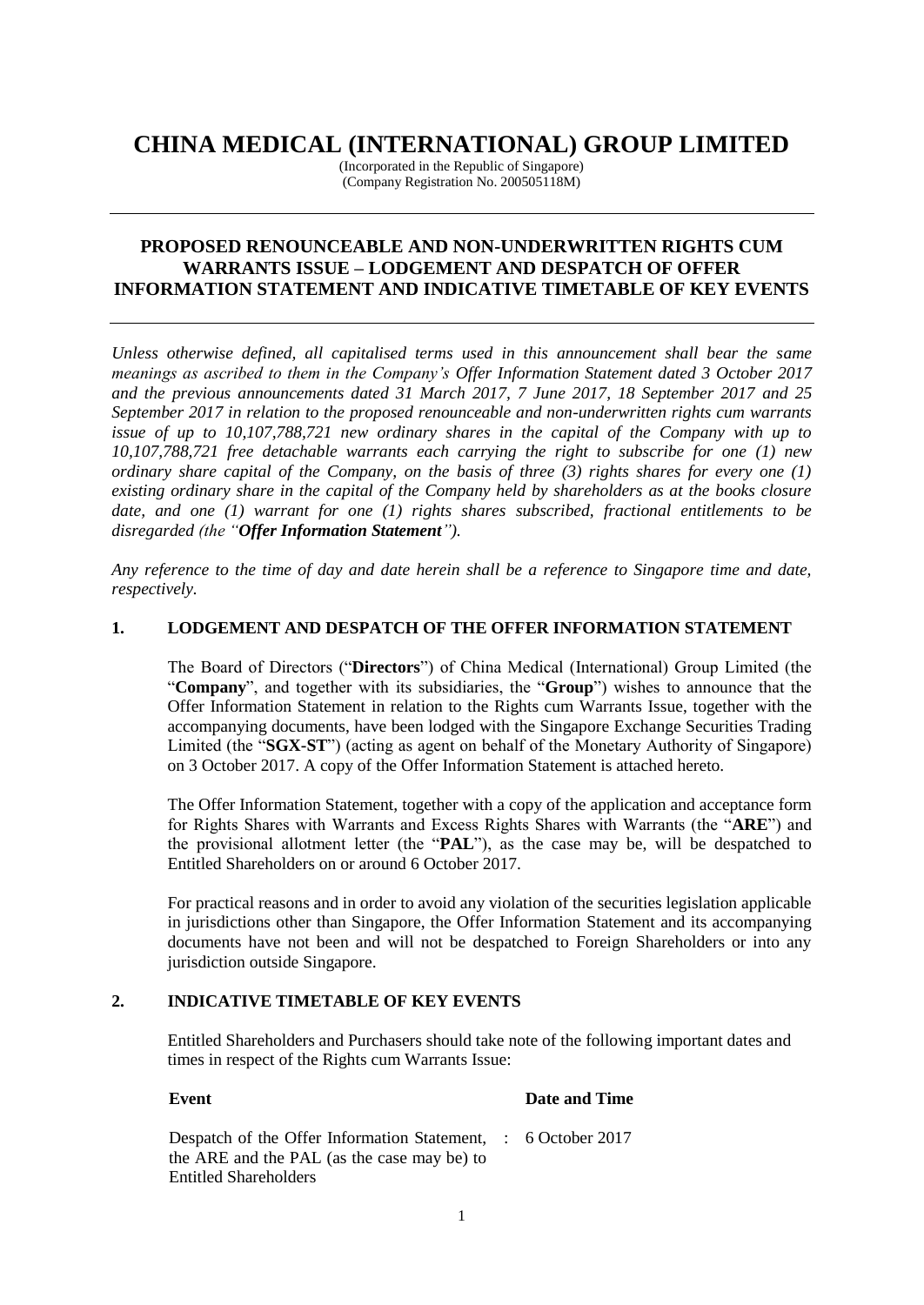## **CHINA MEDICAL (INTERNATIONAL) GROUP LIMITED**

(Incorporated in the Republic of Singapore) (Company Registration No. 200505118M)

### **PROPOSED RENOUNCEABLE AND NON-UNDERWRITTEN RIGHTS CUM WARRANTS ISSUE – LODGEMENT AND DESPATCH OF OFFER INFORMATION STATEMENT AND INDICATIVE TIMETABLE OF KEY EVENTS**

*Unless otherwise defined, all capitalised terms used in this announcement shall bear the same meanings as ascribed to them in the Company's Offer Information Statement dated 3 October 2017 and the previous announcements dated 31 March 2017, 7 June 2017, 18 September 2017 and 25 September 2017 in relation to the proposed renounceable and non-underwritten rights cum warrants issue of up to 10,107,788,721 new ordinary shares in the capital of the Company with up to 10,107,788,721 free detachable warrants each carrying the right to subscribe for one (1) new ordinary share capital of the Company, on the basis of three (3) rights shares for every one (1) existing ordinary share in the capital of the Company held by shareholders as at the books closure date, and one (1) warrant for one (1) rights shares subscribed, fractional entitlements to be disregarded (the "Offer Information Statement").*

*Any reference to the time of day and date herein shall be a reference to Singapore time and date, respectively.*

#### **1. LODGEMENT AND DESPATCH OF THE OFFER INFORMATION STATEMENT**

The Board of Directors ("**Directors**") of China Medical (International) Group Limited (the "**Company**", and together with its subsidiaries, the "**Group**") wishes to announce that the Offer Information Statement in relation to the Rights cum Warrants Issue, together with the accompanying documents, have been lodged with the Singapore Exchange Securities Trading Limited (the "**SGX-ST**") (acting as agent on behalf of the Monetary Authority of Singapore) on 3 October 2017. A copy of the Offer Information Statement is attached hereto.

The Offer Information Statement, together with a copy of the application and acceptance form for Rights Shares with Warrants and Excess Rights Shares with Warrants (the "**ARE**") and the provisional allotment letter (the "**PAL**"), as the case may be, will be despatched to Entitled Shareholders on or around 6 October 2017.

For practical reasons and in order to avoid any violation of the securities legislation applicable in jurisdictions other than Singapore, the Offer Information Statement and its accompanying documents have not been and will not be despatched to Foreign Shareholders or into any jurisdiction outside Singapore.

#### **2. INDICATIVE TIMETABLE OF KEY EVENTS**

Entitled Shareholders and Purchasers should take note of the following important dates and times in respect of the Rights cum Warrants Issue:

# **Event Date and Time**

| Despatch of the Offer Information Statement, : 6 October 2017 |  |
|---------------------------------------------------------------|--|
| the ARE and the PAL (as the case may be) to                   |  |
| <b>Entitled Shareholders</b>                                  |  |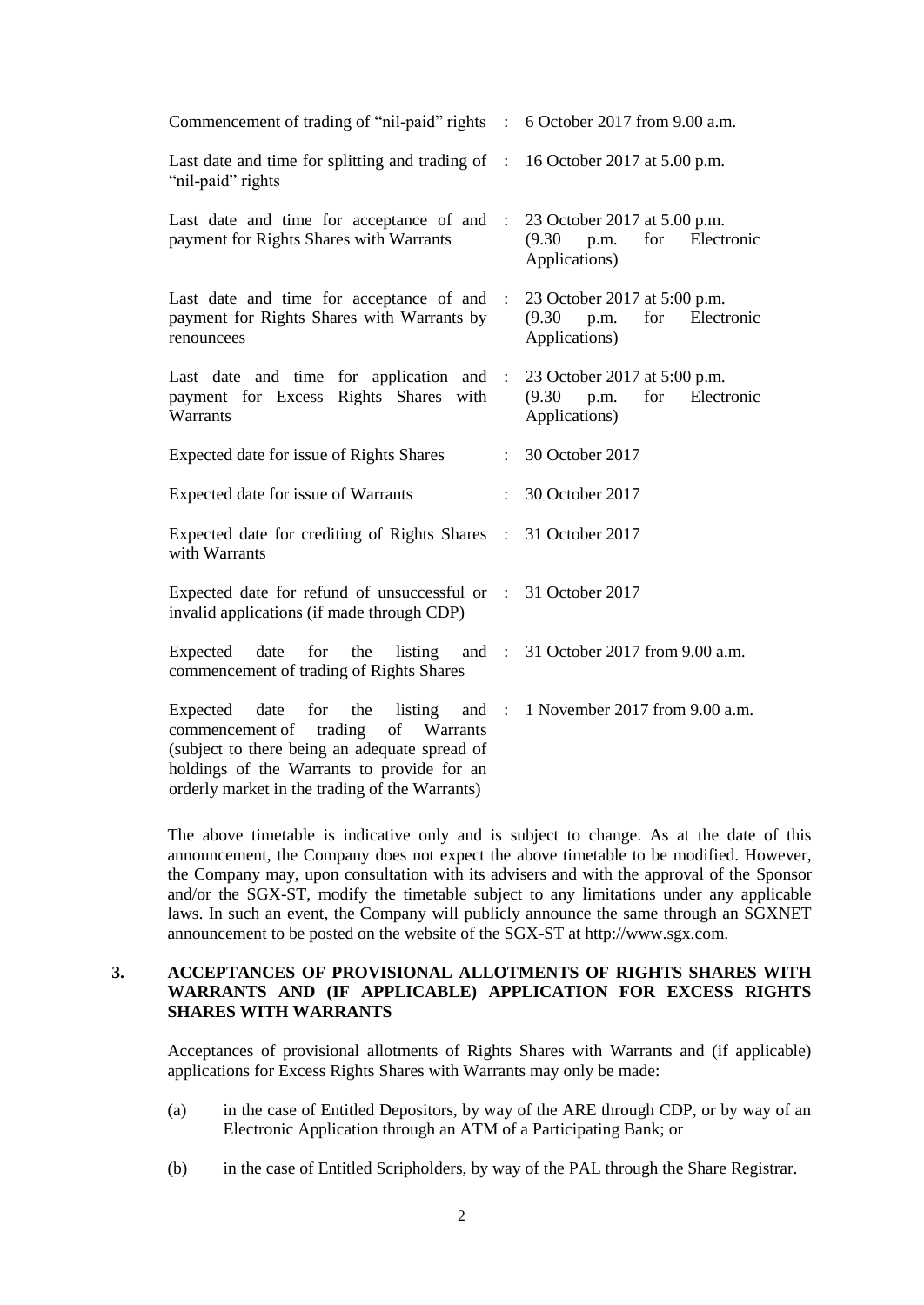| Commencement of trading of "nil-paid" rights : 6 October 2017 from 9.00 a.m.                                                                                                                                    |                   |                                                                                          |
|-----------------------------------------------------------------------------------------------------------------------------------------------------------------------------------------------------------------|-------------------|------------------------------------------------------------------------------------------|
| Last date and time for splitting and trading of : 16 October 2017 at 5.00 p.m.<br>"nil-paid" rights                                                                                                             |                   |                                                                                          |
| Last date and time for acceptance of and : 23 October 2017 at 5.00 p.m.<br>payment for Rights Shares with Warrants                                                                                              |                   | (9.30)<br>p.m.<br>for Electronic<br>Applications)                                        |
| Last date and time for acceptance of and<br>payment for Rights Shares with Warrants by<br>renouncees                                                                                                            | $\sim$ 100 $\sim$ | 23 October 2017 at 5:00 p.m.<br>$(9.30 \text{ p.m.})$<br>for Electronic<br>Applications) |
| Last date and time for application and : $23$ October 2017 at 5:00 p.m.<br>payment for Excess Rights Shares with<br>Warrants                                                                                    |                   | for Electronic<br>$(9.30 \text{ p.m.})$<br>Applications)                                 |
| Expected date for issue of Rights Shares                                                                                                                                                                        |                   | : 30 October 2017                                                                        |
| Expected date for issue of Warrants                                                                                                                                                                             | $\mathbf{r}$      | 30 October 2017                                                                          |
| Expected date for crediting of Rights Shares : 31 October 2017<br>with Warrants                                                                                                                                 |                   |                                                                                          |
| Expected date for refund of unsuccessful or : 31 October 2017<br>invalid applications (if made through CDP)                                                                                                     |                   |                                                                                          |
| Expected date for the listing and : 31 October 2017 from 9.00 a.m.<br>commencement of trading of Rights Shares                                                                                                  |                   |                                                                                          |
| date<br>for<br>Expected<br>commencement of trading of Warrants<br>(subject to there being an adequate spread of<br>holdings of the Warrants to provide for an<br>orderly market in the trading of the Warrants) |                   | the listing and : 1 November 2017 from 9.00 a.m.                                         |

The above timetable is indicative only and is subject to change. As at the date of this announcement, the Company does not expect the above timetable to be modified. However, the Company may, upon consultation with its advisers and with the approval of the Sponsor and/or the SGX-ST, modify the timetable subject to any limitations under any applicable laws. In such an event, the Company will publicly announce the same through an SGXNET announcement to be posted on the website of the SGX-ST at http://www.sgx.com.

#### **3. ACCEPTANCES OF PROVISIONAL ALLOTMENTS OF RIGHTS SHARES WITH WARRANTS AND (IF APPLICABLE) APPLICATION FOR EXCESS RIGHTS SHARES WITH WARRANTS**

Acceptances of provisional allotments of Rights Shares with Warrants and (if applicable) applications for Excess Rights Shares with Warrants may only be made:

- (a) in the case of Entitled Depositors, by way of the ARE through CDP, or by way of an Electronic Application through an ATM of a Participating Bank; or
- (b) in the case of Entitled Scripholders, by way of the PAL through the Share Registrar.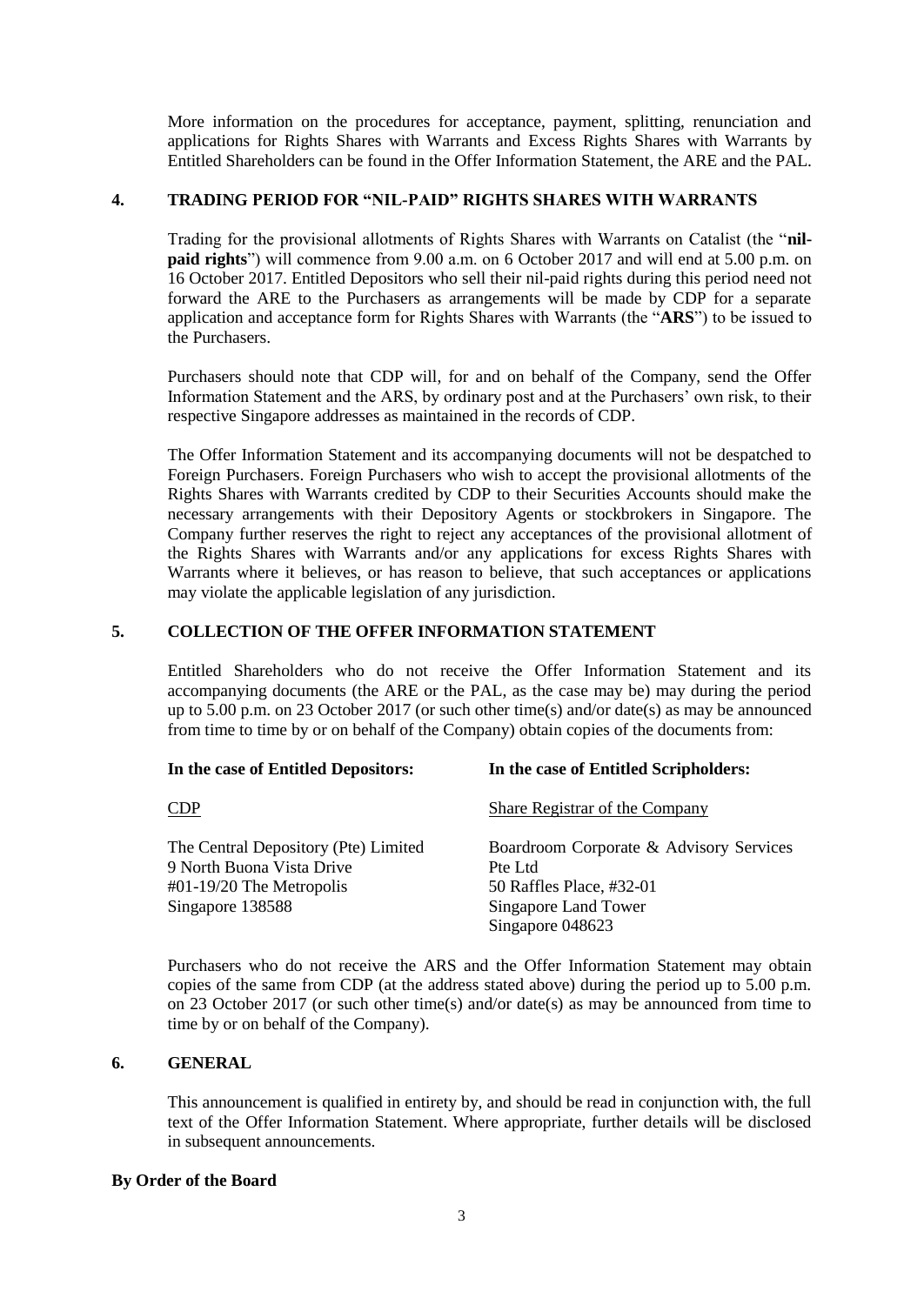More information on the procedures for acceptance, payment, splitting, renunciation and applications for Rights Shares with Warrants and Excess Rights Shares with Warrants by Entitled Shareholders can be found in the Offer Information Statement, the ARE and the PAL.

#### **4. TRADING PERIOD FOR "NIL-PAID" RIGHTS SHARES WITH WARRANTS**

Trading for the provisional allotments of Rights Shares with Warrants on Catalist (the "**nilpaid rights**") will commence from 9.00 a.m. on 6 October 2017 and will end at 5.00 p.m. on 16 October 2017. Entitled Depositors who sell their nil-paid rights during this period need not forward the ARE to the Purchasers as arrangements will be made by CDP for a separate application and acceptance form for Rights Shares with Warrants (the "**ARS**") to be issued to the Purchasers.

Purchasers should note that CDP will, for and on behalf of the Company, send the Offer Information Statement and the ARS, by ordinary post and at the Purchasers' own risk, to their respective Singapore addresses as maintained in the records of CDP.

The Offer Information Statement and its accompanying documents will not be despatched to Foreign Purchasers. Foreign Purchasers who wish to accept the provisional allotments of the Rights Shares with Warrants credited by CDP to their Securities Accounts should make the necessary arrangements with their Depository Agents or stockbrokers in Singapore. The Company further reserves the right to reject any acceptances of the provisional allotment of the Rights Shares with Warrants and/or any applications for excess Rights Shares with Warrants where it believes, or has reason to believe, that such acceptances or applications may violate the applicable legislation of any jurisdiction.

#### **5. COLLECTION OF THE OFFER INFORMATION STATEMENT**

Entitled Shareholders who do not receive the Offer Information Statement and its accompanying documents (the ARE or the PAL, as the case may be) may during the period up to 5.00 p.m. on 23 October 2017 (or such other time(s) and/or date(s) as may be announced from time to time by or on behalf of the Company) obtain copies of the documents from:

| In the case of Entitled Depositors:                                                                                                | In the case of Entitled Scripholders:                                                                                      |
|------------------------------------------------------------------------------------------------------------------------------------|----------------------------------------------------------------------------------------------------------------------------|
| <b>CDP</b>                                                                                                                         | Share Registrar of the Company                                                                                             |
| The Central Depository (Pte) Limited<br>9 North Buona Vista Drive<br>$\text{\#}01\text{-}19/20$ The Metropolis<br>Singapore 138588 | Boardroom Corporate & Advisory Services<br>Pte Ltd<br>50 Raffles Place, #32-01<br>Singapore Land Tower<br>Singapore 048623 |

Purchasers who do not receive the ARS and the Offer Information Statement may obtain copies of the same from CDP (at the address stated above) during the period up to 5.00 p.m. on 23 October 2017 (or such other time(s) and/or date(s) as may be announced from time to time by or on behalf of the Company).

#### **6. GENERAL**

This announcement is qualified in entirety by, and should be read in conjunction with, the full text of the Offer Information Statement. Where appropriate, further details will be disclosed in subsequent announcements.

#### **By Order of the Board**